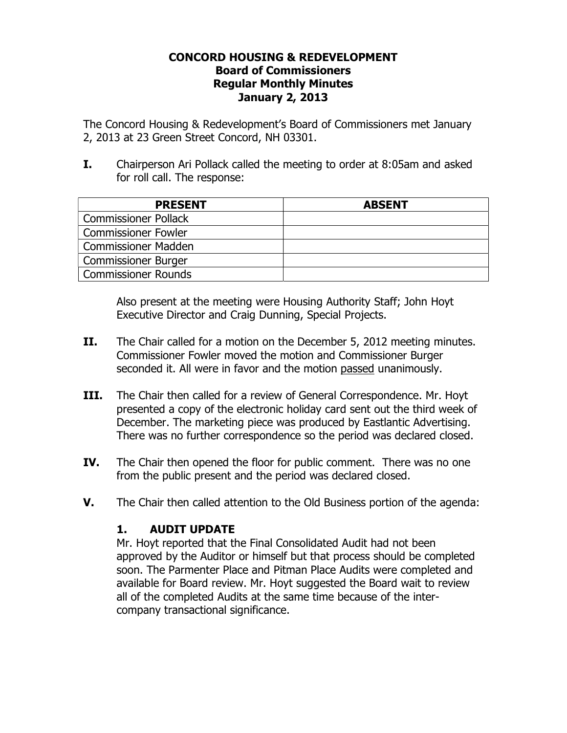## **CONCORD HOUSING & REDEVELOPMENT Board of Commissioners Regular Monthly Minutes January 2, 2013**

The Concord Housing & Redevelopment's Board of Commissioners met January 2, 2013 at 23 Green Street Concord, NH 03301.

**I.** Chairperson Ari Pollack called the meeting to order at 8:05am and asked for roll call. The response:

| <b>PRESENT</b>              | <b>ABSENT</b> |
|-----------------------------|---------------|
| <b>Commissioner Pollack</b> |               |
| <b>Commissioner Fowler</b>  |               |
| <b>Commissioner Madden</b>  |               |
| <b>Commissioner Burger</b>  |               |
| <b>Commissioner Rounds</b>  |               |

Also present at the meeting were Housing Authority Staff; John Hoyt Executive Director and Craig Dunning, Special Projects.

- **II.** The Chair called for a motion on the December 5, 2012 meeting minutes. Commissioner Fowler moved the motion and Commissioner Burger seconded it. All were in favor and the motion passed unanimously.
- **III.** The Chair then called for a review of General Correspondence. Mr. Hoyt presented a copy of the electronic holiday card sent out the third week of December. The marketing piece was produced by Eastlantic Advertising. There was no further correspondence so the period was declared closed.
- **IV.** The Chair then opened the floor for public comment. There was no one from the public present and the period was declared closed.
- **V.** The Chair then called attention to the Old Business portion of the agenda:

## **1. AUDIT UPDATE**

Mr. Hoyt reported that the Final Consolidated Audit had not been approved by the Auditor or himself but that process should be completed soon. The Parmenter Place and Pitman Place Audits were completed and available for Board review. Mr. Hoyt suggested the Board wait to review all of the completed Audits at the same time because of the intercompany transactional significance.